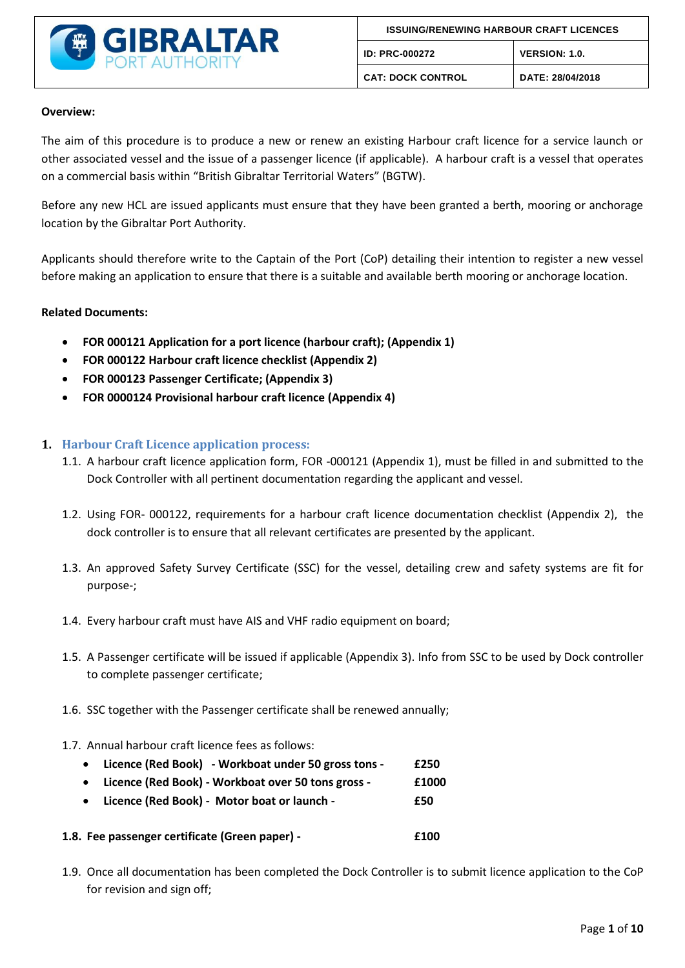

#### **Overview:**

The aim of this procedure is to produce a new or renew an existing Harbour craft licence for a service launch or other associated vessel and the issue of a passenger licence (if applicable). A harbour craft is a vessel that operates on a commercial basis within "British Gibraltar Territorial Waters" (BGTW).

Before any new HCL are issued applicants must ensure that they have been granted a berth, mooring or anchorage location by the Gibraltar Port Authority.

Applicants should therefore write to the Captain of the Port (CoP) detailing their intention to register a new vessel before making an application to ensure that there is a suitable and available berth mooring or anchorage location.

### **Related Documents:**

- **FOR 000121 Application for a port licence (harbour craft); (Appendix 1)**
- **FOR 000122 Harbour craft licence checklist (Appendix 2)**
- **FOR 000123 Passenger Certificate; (Appendix 3)**
- **FOR 0000124 Provisional harbour craft licence (Appendix 4)**

### **1. Harbour Craft Licence application process:**

- 1.1. A harbour craft licence application form, FOR -000121 (Appendix 1), must be filled in and submitted to the Dock Controller with all pertinent documentation regarding the applicant and vessel.
- 1.2. Using FOR- 000122, requirements for a harbour craft licence documentation checklist (Appendix 2), the dock controller is to ensure that all relevant certificates are presented by the applicant.
- 1.3. An approved Safety Survey Certificate (SSC) for the vessel, detailing crew and safety systems are fit for purpose-;
- 1.4. Every harbour craft must have AIS and VHF radio equipment on board;
- 1.5. A Passenger certificate will be issued if applicable (Appendix 3). Info from SSC to be used by Dock controller to complete passenger certificate;
- 1.6. SSC together with the Passenger certificate shall be renewed annually;
- 1.7. Annual harbour craft licence fees as follows:
	- **Licence (Red Book) - Workboat under 50 gross tons - £250**
	- **Licence (Red Book) - Workboat over 50 tons gross - £1000**
	- **Licence (Red Book) Motor boat or launch £50**
- **1.8. Fee passenger certificate (Green paper) - £100**
- 1.9. Once all documentation has been completed the Dock Controller is to submit licence application to the CoP for revision and sign off;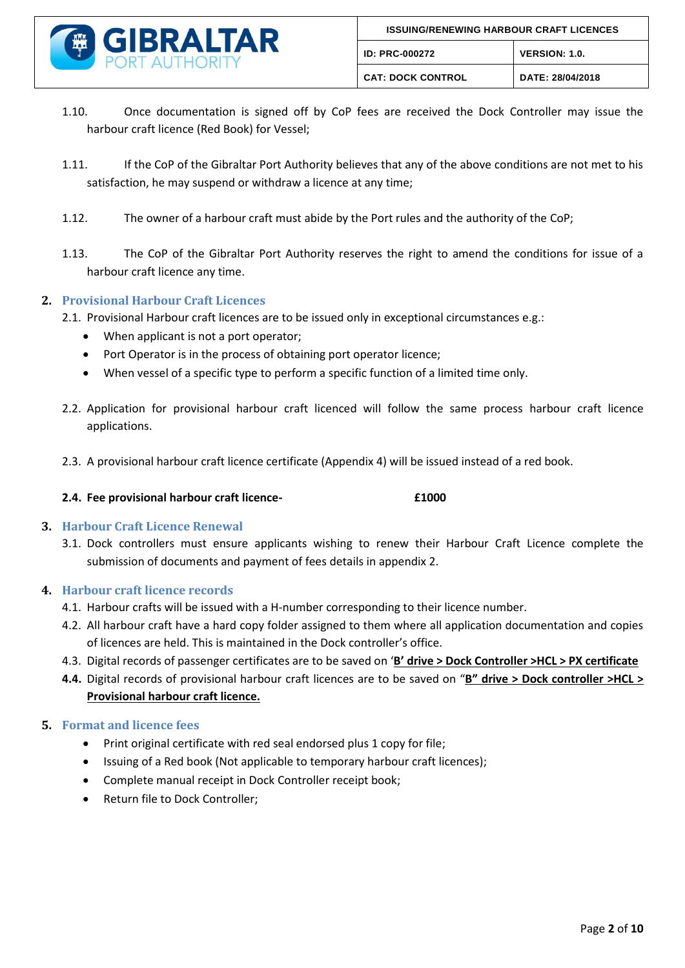

- 1.10. Once documentation is signed off by CoP fees are received the Dock Controller may issue the harbour craft licence (Red Book) for Vessel;
- 1.11. If the CoP of the Gibraltar Port Authority believes that any of the above conditions are not met to his satisfaction, he may suspend or withdraw a licence at any time;
- 1.12. The owner of a harbour craft must abide by the Port rules and the authority of the CoP;
- 1.13. The CoP of the Gibraltar Port Authority reserves the right to amend the conditions for issue of a harbour craft licence any time.

### **2. Provisional Harbour Craft Licences**

2.1. Provisional Harbour craft licences are to be issued only in exceptional circumstances e.g.:

- When applicant is not a port operator;
- Port Operator is in the process of obtaining port operator licence;
- When vessel of a specific type to perform a specific function of a limited time only.
- 2.2. Application for provisional harbour craft licenced will follow the same process harbour craft licence applications.
- 2.3. A provisional harbour craft licence certificate (Appendix 4) will be issued instead of a red book.
- **2.4. Fee provisional harbour craft licence- £1000**

### **3. Harbour Craft Licence Renewal**

3.1. Dock controllers must ensure applicants wishing to renew their Harbour Craft Licence complete the submission of documents and payment of fees details in appendix 2.

### **4. Harbour craft licence records**

- 4.1. Harbour crafts will be issued with a H-number corresponding to their licence number.
- 4.2. All harbour craft have a hard copy folder assigned to them where all application documentation and copies of licences are held. This is maintained in the Dock controller's office.
- 4.3. Digital records of passenger certificates are to be saved on '**B' drive > Dock Controller >HCL > PX certificate**
- **4.4.** Digital records of provisional harbour craft licences are to be saved on "**B" drive > Dock controller >HCL > Provisional harbour craft licence.**

### **5. Format and licence fees**

- Print original certificate with red seal endorsed plus 1 copy for file;
- Issuing of a Red book (Not applicable to temporary harbour craft licences);
- Complete manual receipt in Dock Controller receipt book;
- Return file to Dock Controller;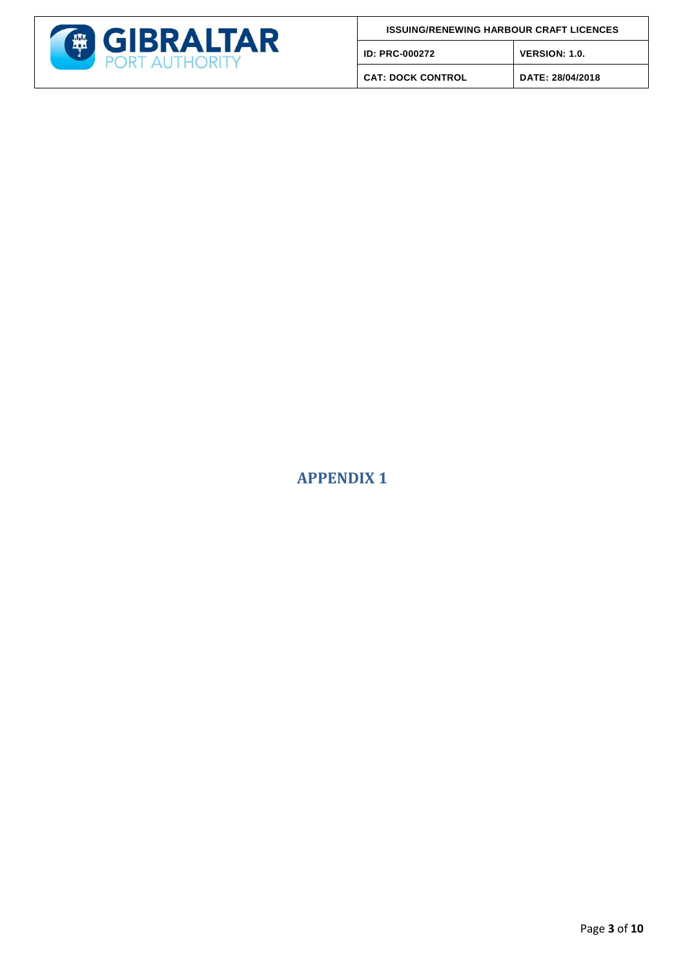

**CAT: DOCK CONTROL DATE: 28/04/2018**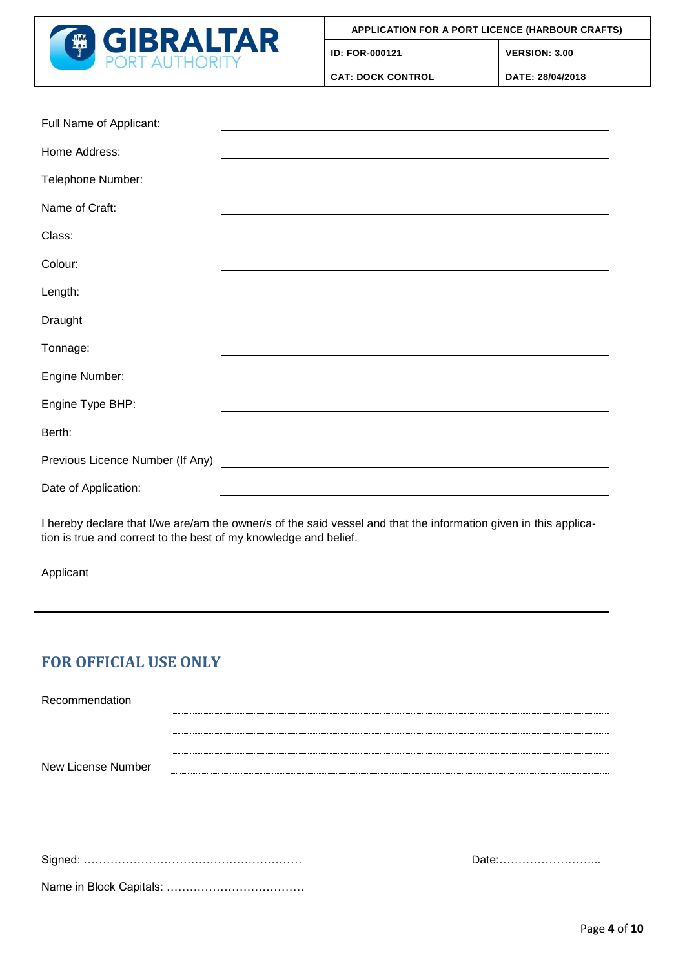

| Full Name of Applicant:          |                                                                                                                        |
|----------------------------------|------------------------------------------------------------------------------------------------------------------------|
| Home Address:                    | <u> 1989 - Johann Stoff, deutscher Stoffen und der Stoffen und der Stoffen und der Stoffen und der Stoffen und der</u> |
| Telephone Number:                | ,我们也不会有什么。""我们的人,我们也不会有什么?""我们的人,我们也不会有什么?""我们的人,我们也不会有什么?""我们的人,我们也不会有什么?""我们的人                                       |
| Name of Craft:                   | ,我们也不会有什么。""我们的人,我们也不会有什么?""我们的人,我们也不会有什么?""我们的人,我们也不会有什么?""我们的人,我们也不会有什么?""我们的人                                       |
| Class:                           | ,我们也不会有什么。""我们的人,我们也不会有什么?""我们的人,我们也不会有什么?""我们的人,我们也不会有什么?""我们的人,我们也不会有什么?""我们的人                                       |
| Colour:                          |                                                                                                                        |
| Length:                          |                                                                                                                        |
| Draught                          | ,我们也不会有什么。""我们的人,我们也不会有什么?""我们的人,我们也不会有什么?""我们的人,我们也不会有什么?""我们的人,我们也不会有什么?""我们的人                                       |
| Tonnage:                         | ,我们也不会有什么。""我们的人,我们也不会有什么?""我们的人,我们也不会有什么?""我们的人,我们也不会有什么?""我们的人,我们也不会有什么?""我们的人                                       |
| Engine Number:                   | and the control of the control of the control of the control of the control of the control of the control of the       |
| Engine Type BHP:                 | ,我们也不会有什么。""我们的人,我们也不会有什么?""我们的人,我们也不会有什么?""我们的人,我们也不会有什么?""我们的人,我们也不会有什么?""我们的人                                       |
| Berth:                           | <u> 1989 - Andrea Andrew Maria (h. 1989).</u>                                                                          |
| Previous Licence Number (If Any) |                                                                                                                        |
| Date of Application:             | <u> 1980 - Johann Barbara, martxa amerikan bashkar (</u>                                                               |
|                                  | The color devises that these and so the company of the early concelled that the information when in this species       |

I hereby declare that I/we are/am the owner/s of the said vessel and that the information given in this application is true and correct to the best of my knowledge and belief.

Applicant

### **FOR OFFICIAL USE ONLY**

| Recommendation     |  |
|--------------------|--|
|                    |  |
|                    |  |
|                    |  |
| New License Number |  |

Signed: ………………………………………………… Date:……………………...

|--|--|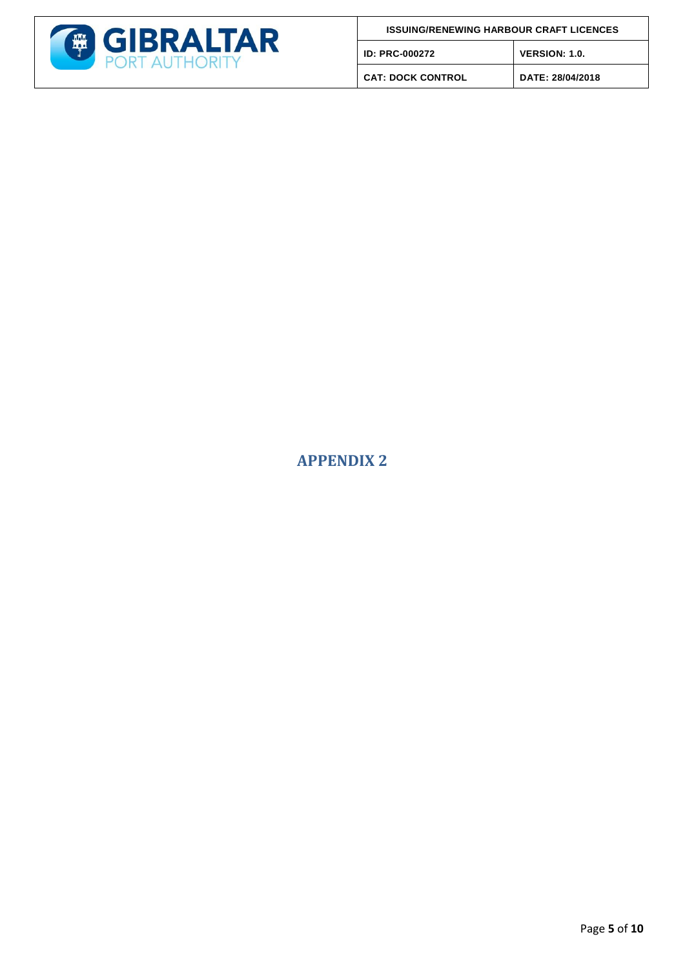

**CAT: DOCK CONTROL DATE: 28/04/2018**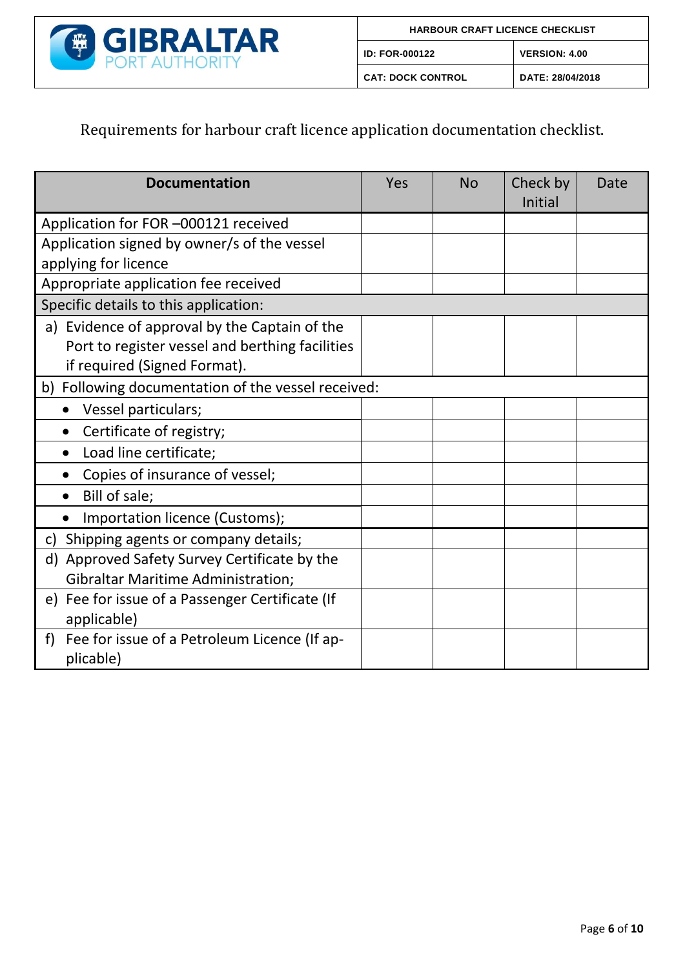

| <b>HARBOUR CRAFT LICENCE CHECKLIST</b> |                      |  |  |  |
|----------------------------------------|----------------------|--|--|--|
| <b>ID: FOR-000122</b>                  | <b>VERSION: 4.00</b> |  |  |  |
| <b>CAT: DOCK CONTROL</b>               | DATE: 28/04/2018     |  |  |  |

# Requirements for harbour craft licence application documentation checklist.

| <b>Documentation</b>                               | Yes | <b>No</b> | Check by | Date |  |
|----------------------------------------------------|-----|-----------|----------|------|--|
|                                                    |     |           | Initial  |      |  |
| Application for FOR -000121 received               |     |           |          |      |  |
| Application signed by owner/s of the vessel        |     |           |          |      |  |
| applying for licence                               |     |           |          |      |  |
| Appropriate application fee received               |     |           |          |      |  |
| Specific details to this application:              |     |           |          |      |  |
| a) Evidence of approval by the Captain of the      |     |           |          |      |  |
| Port to register vessel and berthing facilities    |     |           |          |      |  |
| if required (Signed Format).                       |     |           |          |      |  |
| b) Following documentation of the vessel received: |     |           |          |      |  |
| Vessel particulars;                                |     |           |          |      |  |
| Certificate of registry;                           |     |           |          |      |  |
| Load line certificate;<br>$\bullet$                |     |           |          |      |  |
| Copies of insurance of vessel;                     |     |           |          |      |  |
| Bill of sale;                                      |     |           |          |      |  |
| Importation licence (Customs);                     |     |           |          |      |  |
| Shipping agents or company details;<br>c)          |     |           |          |      |  |
| Approved Safety Survey Certificate by the<br>d)    |     |           |          |      |  |
| <b>Gibraltar Maritime Administration;</b>          |     |           |          |      |  |
| Fee for issue of a Passenger Certificate (If<br>e) |     |           |          |      |  |
| applicable)                                        |     |           |          |      |  |
| Fee for issue of a Petroleum Licence (If ap-<br>f) |     |           |          |      |  |
| plicable)                                          |     |           |          |      |  |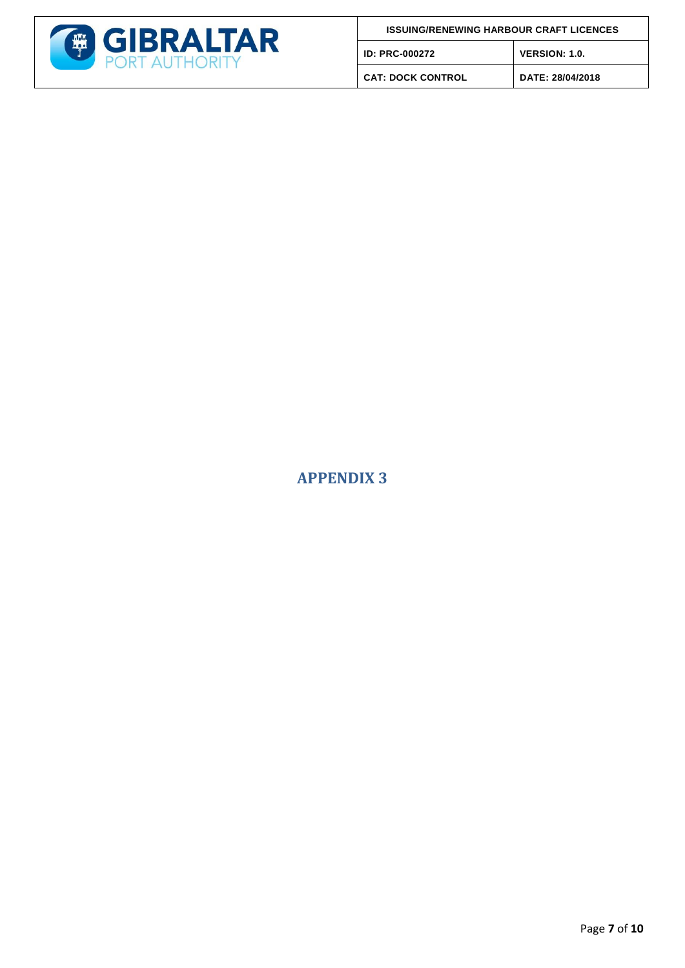

**CAT: DOCK CONTROL DATE: 28/04/2018**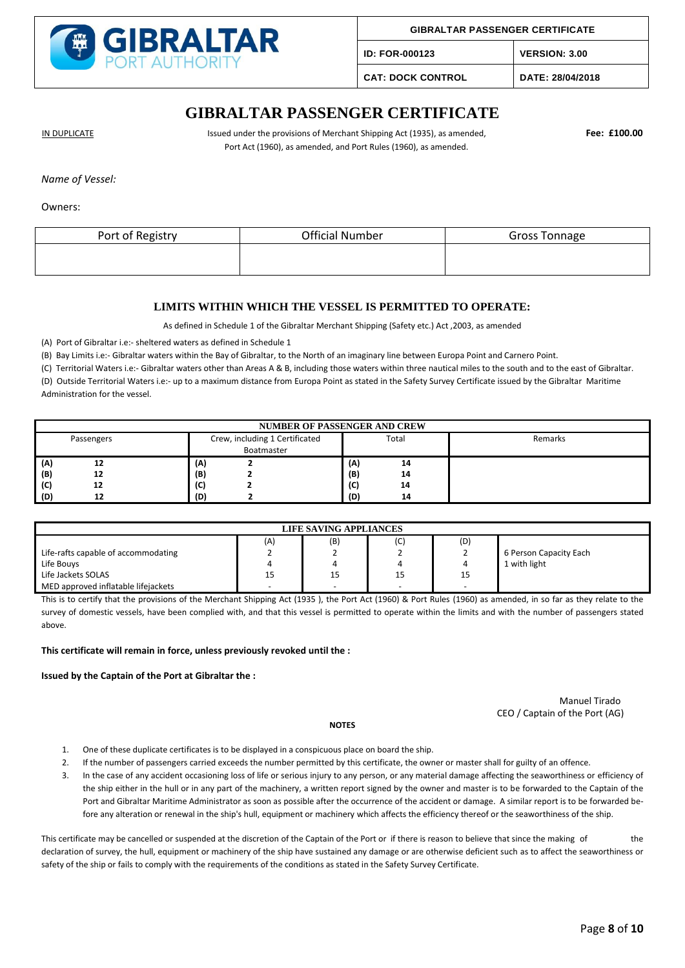

**ID: FOR-000123 VERSION: 3.00**

**CAT: DOCK CONTROL DATE: 28/04/2018**

### **GIBRALTAR PASSENGER CERTIFICATE**

IN DUPLICATE **Interpretatat Constructs** Issued under the provisions of Merchant Shipping Act (1935), as amended, **Fee: £100.00** Port Act (1960), as amended, and Port Rules (1960), as amended.

*Name of Vessel:*

Owners:

| Port of Registry | <b>Official Number</b> | <b>Gross Tonnage</b> |
|------------------|------------------------|----------------------|
|                  |                        |                      |
|                  |                        |                      |

#### **LIMITS WITHIN WHICH THE VESSEL IS PERMITTED TO OPERATE:**

As defined in Schedule 1 of the Gibraltar Merchant Shipping (Safety etc.) Act ,2003, as amended

(A) Port of Gibraltar i.e:- sheltered waters as defined in Schedule 1

(B) Bay Limits i.e:- Gibraltar waters within the Bay of Gibraltar, to the North of an imaginary line between Europa Point and Carnero Point.

(C) Territorial Waters i.e:- Gibraltar waters other than Areas A & B, including those waters within three nautical miles to the south and to the east of Gibraltar. (D) Outside Territorial Waters i.e:- up to a maximum distance from Europa Point as stated in the Safety Survey Certificate issued by the Gibraltar Maritime Administration for the vessel.

| <b>NUMBER OF PASSENGER AND CREW</b> |            |     |                                              |     |       |         |  |
|-------------------------------------|------------|-----|----------------------------------------------|-----|-------|---------|--|
|                                     | Passengers |     | Crew, including 1 Certificated<br>Boatmaster |     | Total | Remarks |  |
| (A)                                 | 12         | (A) |                                              | (A) | 14    |         |  |
| (B)                                 | 12         | (B) |                                              | (B) | 14    |         |  |
| (C)                                 | 12         | (C) |                                              | (C) | 14    |         |  |
| (D)                                 |            | (D) |                                              | (D) | 14    |         |  |

| LIFE SAVING APPLIANCES              |                          |                          |                          |                          |                        |  |  |
|-------------------------------------|--------------------------|--------------------------|--------------------------|--------------------------|------------------------|--|--|
|                                     | (A)                      | (B)                      | (C)                      | (D)                      |                        |  |  |
| Life-rafts capable of accommodating | -                        | <u>.</u>                 | -                        |                          | 6 Person Capacity Each |  |  |
| Life Bouys                          | 4                        |                          |                          |                          | 1 with light           |  |  |
| Life Jackets SOLAS                  | 15                       | 15                       | 15                       | 15                       |                        |  |  |
| MED approved inflatable lifejackets | $\overline{\phantom{0}}$ | $\overline{\phantom{a}}$ | $\overline{\phantom{0}}$ | $\overline{\phantom{0}}$ |                        |  |  |

This is to certify that the provisions of the Merchant Shipping Act (1935 ), the Port Act (1960) & Port Rules (1960) as amended, in so far as they relate to the survey of domestic vessels, have been complied with, and that this vessel is permitted to operate within the limits and with the number of passengers stated above.

**This certificate will remain in force, unless previously revoked until the :**

**Issued by the Captain of the Port at Gibraltar the :**

 Manuel Tirado CEO / Captain of the Port (AG)

- 1. One of these duplicate certificates is to be displayed in a conspicuous place on board the ship.
- 2. If the number of passengers carried exceeds the number permitted by this certificate, the owner or master shall for guilty of an offence.

**NOTES**

3. In the case of any accident occasioning loss of life or serious injury to any person, or any material damage affecting the seaworthiness or efficiency of the ship either in the hull or in any part of the machinery, a written report signed by the owner and master is to be forwarded to the Captain of the Port and Gibraltar Maritime Administrator as soon as possible after the occurrence of the accident or damage. A similar report is to be forwarded before any alteration or renewal in the ship's hull, equipment or machinery which affects the efficiency thereof or the seaworthiness of the ship.

This certificate may be cancelled or suspended at the discretion of the Captain of the Port or if there is reason to believe that since the making of the declaration of survey, the hull, equipment or machinery of the ship have sustained any damage or are otherwise deficient such as to affect the seaworthiness or safety of the ship or fails to comply with the requirements of the conditions as stated in the Safety Survey Certificate.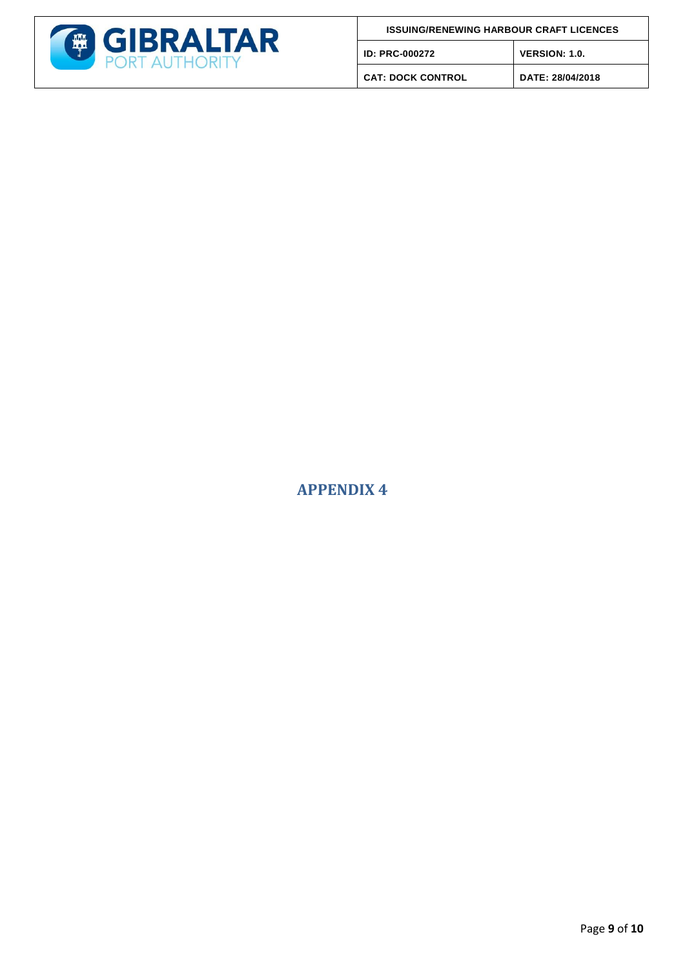

**CAT: DOCK CONTROL DATE: 28/04/2018**